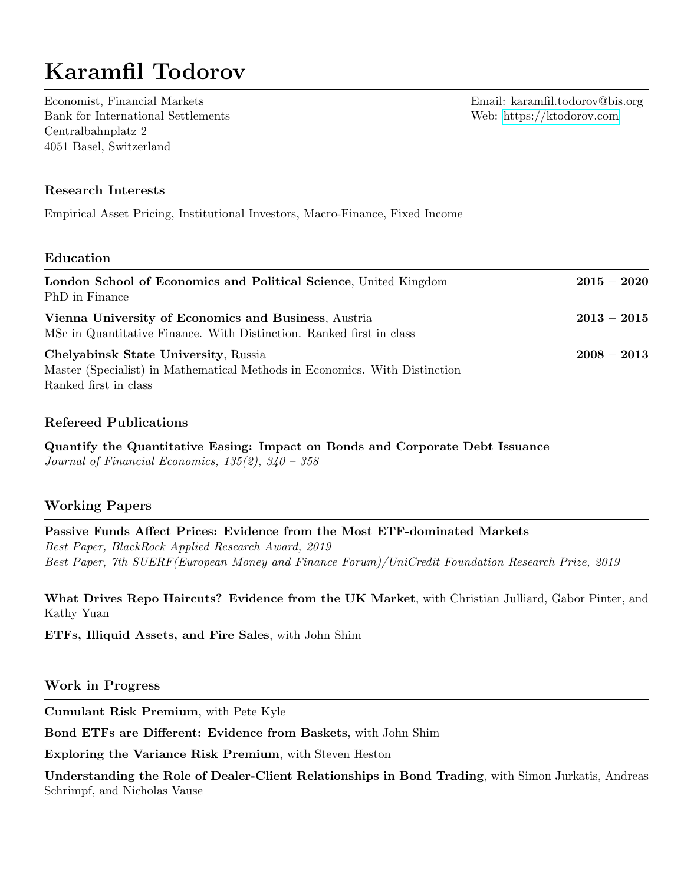# Karamfil Todorov

Economist, Financial Markets Email: karamfil.todorov@bis.org Bank for International Settlements Web:<https://ktodorov.com> Centralbahnplatz 2 4051 Basel, Switzerland

## Research Interests

Empirical Asset Pricing, Institutional Investors, Macro-Finance, Fixed Income

#### Education

| London School of Economics and Political Science, United Kingdom<br>PhD in Finance                                                          | $2015-2020$   |
|---------------------------------------------------------------------------------------------------------------------------------------------|---------------|
| Vienna University of Economics and Business, Austria<br>MSc in Quantitative Finance. With Distinction. Ranked first in class                | $2013-2015$   |
| Chelyabinsk State University, Russia<br>Master (Specialist) in Mathematical Methods in Economics. With Distinction<br>Ranked first in class | $2008 - 2013$ |

#### Refereed Publications

Quantify the Quantitative Easing: Impact on Bonds and Corporate Debt Issuance Journal of Financial Economics, 135(2), 340 – 358

## Working Papers

Passive Funds Affect Prices: Evidence from the Most ETF-dominated Markets Best Paper, BlackRock Applied Research Award, 2019 Best Paper, 7th SUERF(European Money and Finance Forum)/UniCredit Foundation Research Prize, 2019

What Drives Repo Haircuts? Evidence from the UK Market, with Christian Julliard, Gabor Pinter, and Kathy Yuan

ETFs, Illiquid Assets, and Fire Sales, with John Shim

#### Work in Progress

Cumulant Risk Premium, with Pete Kyle

Bond ETFs are Different: Evidence from Baskets, with John Shim

Exploring the Variance Risk Premium, with Steven Heston

Understanding the Role of Dealer-Client Relationships in Bond Trading, with Simon Jurkatis, Andreas Schrimpf, and Nicholas Vause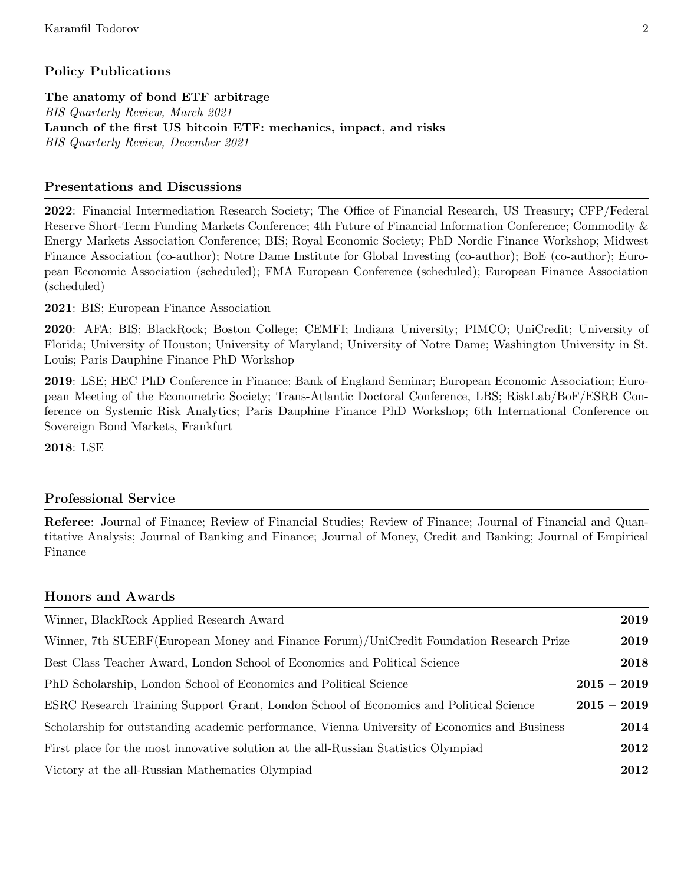# Policy Publications

The anatomy of bond ETF arbitrage BIS Quarterly Review, March 2021 Launch of the first US bitcoin ETF: mechanics, impact, and risks BIS Quarterly Review, December 2021

# Presentations and Discussions

2022: Financial Intermediation Research Society; The Office of Financial Research, US Treasury; CFP/Federal Reserve Short-Term Funding Markets Conference; 4th Future of Financial Information Conference; Commodity & Energy Markets Association Conference; BIS; Royal Economic Society; PhD Nordic Finance Workshop; Midwest Finance Association (co-author); Notre Dame Institute for Global Investing (co-author); BoE (co-author); European Economic Association (scheduled); FMA European Conference (scheduled); European Finance Association (scheduled)

2021: BIS; European Finance Association

2020: AFA; BIS; BlackRock; Boston College; CEMFI; Indiana University; PIMCO; UniCredit; University of Florida; University of Houston; University of Maryland; University of Notre Dame; Washington University in St. Louis; Paris Dauphine Finance PhD Workshop

2019: LSE; HEC PhD Conference in Finance; Bank of England Seminar; European Economic Association; European Meeting of the Econometric Society; Trans-Atlantic Doctoral Conference, LBS; RiskLab/BoF/ESRB Conference on Systemic Risk Analytics; Paris Dauphine Finance PhD Workshop; 6th International Conference on Sovereign Bond Markets, Frankfurt

2018: LSE

## Professional Service

Referee: Journal of Finance; Review of Financial Studies; Review of Finance; Journal of Financial and Quantitative Analysis; Journal of Banking and Finance; Journal of Money, Credit and Banking; Journal of Empirical Finance

|  |  | <b>Honors and Awards</b> |
|--|--|--------------------------|
|--|--|--------------------------|

| Winner, BlackRock Applied Research Award                                                      | 2019          |
|-----------------------------------------------------------------------------------------------|---------------|
| Winner, 7th SUERF (European Money and Finance Forum)/UniCredit Foundation Research Prize      | 2019          |
| Best Class Teacher Award, London School of Economics and Political Science                    | 2018          |
| PhD Scholarship, London School of Economics and Political Science                             | $2015 - 2019$ |
| ESRC Research Training Support Grant, London School of Economics and Political Science        | $2015 - 2019$ |
| Scholarship for outstanding academic performance, Vienna University of Economics and Business | 2014          |
| First place for the most innovative solution at the all-Russian Statistics Olympiad           | 2012          |
| Victory at the all-Russian Mathematics Olympiad                                               | 2012          |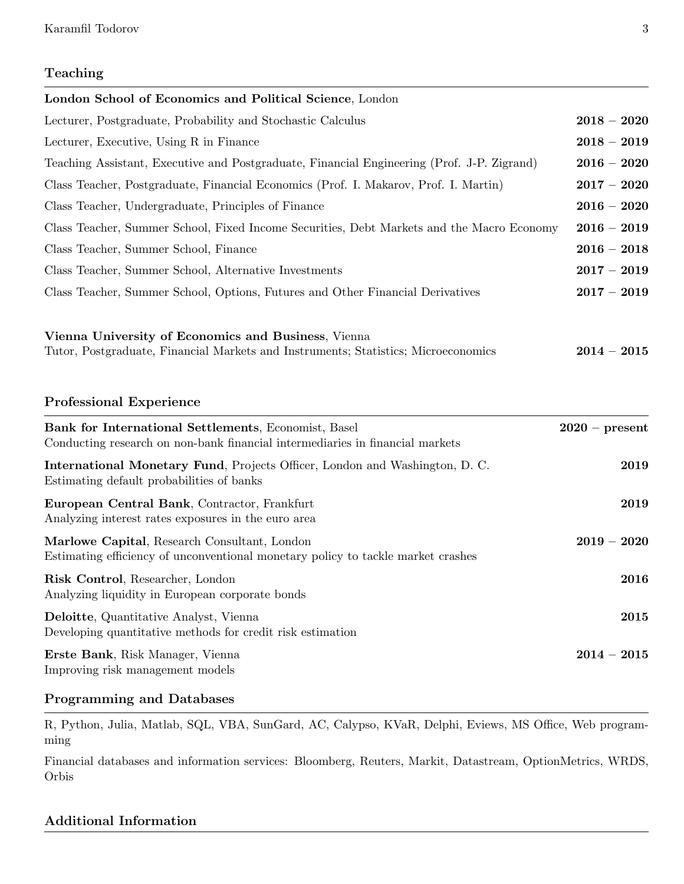# Teaching

| London School of Economics and Political Science, London                                                                                                                |                  |
|-------------------------------------------------------------------------------------------------------------------------------------------------------------------------|------------------|
| Lecturer, Postgraduate, Probability and Stochastic Calculus                                                                                                             | $2018 - 2020$    |
| Lecturer, Executive, Using R in Finance                                                                                                                                 | $2018 - 2019$    |
| Teaching Assistant, Executive and Postgraduate, Financial Engineering (Prof. J-P. Zigrand)                                                                              | $2016 - 2020$    |
| Class Teacher, Postgraduate, Financial Economics (Prof. I. Makarov, Prof. I. Martin)                                                                                    | $2017 - 2020$    |
| Class Teacher, Undergraduate, Principles of Finance                                                                                                                     | $2016 - 2020$    |
| Class Teacher, Summer School, Fixed Income Securities, Debt Markets and the Macro Economy                                                                               | $2016 - 2019$    |
| Class Teacher, Summer School, Finance                                                                                                                                   | $2016 - 2018$    |
| Class Teacher, Summer School, Alternative Investments                                                                                                                   | $2017 - 2019$    |
| Class Teacher, Summer School, Options, Futures and Other Financial Derivatives                                                                                          | $2017 - 2019$    |
| <b>Professional Experience</b><br>Bank for International Settlements, Economist, Basel<br>Conducting research on non-bank financial intermediaries in financial markets | $2020$ – present |
| International Monetary Fund, Projects Officer, London and Washington, D. C.<br>Estimating default probabilities of banks                                                | 2019             |
| European Central Bank, Contractor, Frankfurt<br>Analyzing interest rates exposures in the euro area                                                                     | 2019             |
| Marlowe Capital, Research Consultant, London<br>Estimating efficiency of unconventional monetary policy to tackle market crashes                                        | $2019 - 2020$    |
| Risk Control, Researcher, London<br>Analyzing liquidity in European corporate bonds                                                                                     | 2016             |
| Deloitte, Quantitative Analyst, Vienna<br>Developing quantitative methods for credit risk estimation                                                                    | 2015             |

Erste Bank, Risk Manager, Vienna 2014 – 2015 Improving risk management models

# Programming and Databases

R, Python, Julia, Matlab, SQL, VBA, SunGard, AC, Calypso, KVaR, Delphi, Eviews, MS Office, Web programming

Financial databases and information services: Bloomberg, Reuters, Markit, Datastream, OptionMetrics, WRDS, Orbis

# Additional Information